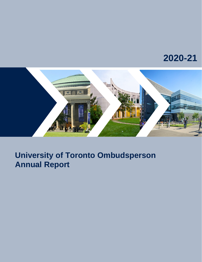# **2020-21**



## **University of Toronto Ombudsperson Annual Report**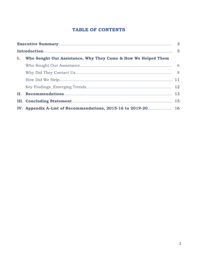## **TABLE OF CONTENTS**

| Ι. | Who Sought Our Assistance, Why They Came & How We Helped Them |  |
|----|---------------------------------------------------------------|--|
|    |                                                               |  |
|    |                                                               |  |
|    |                                                               |  |
|    |                                                               |  |
| П. |                                                               |  |
|    |                                                               |  |
|    | IV. Appendix A-List of Recommendations, 2015-16 to 2019-20 16 |  |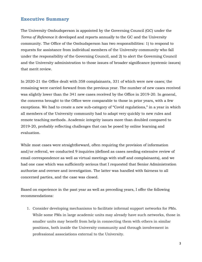#### **Executive Summary**

The University Ombudsperson is appointed by the Governing Council (GC) under the *Terms of Reference* it developed and reports annually to the GC and the University community. The Office of the Ombudsperson has two responsibilities: 1) to respond to requests for assistance from individual members of the University community who fall under the responsibility of the Governing Council, and 2) to alert the Governing Council and the University administration to those issues of broader significance (systemic issues) that merit review.

In 2020-21 the Office dealt with 358 complainants, 331 of which were new cases; the remaining were carried forward from the previous year. The number of new cases received was slightly lower than the 341 new cases received by the Office in 2019-20. In general, the concerns brought to the Office were comparable to those in prior years, with a few exceptions. We had to create a new sub-category of "Covid regulations," in a year in which all members of the University community had to adapt very quickly to new rules and remote teaching methods. Academic integrity issues more than doubled compared to 2019-20, probably reflecting challenges that can be posed by online learning and evaluation.

While most cases were straightforward, often requiring the provision of information and/or referral, we conducted 9 inquiries (defined as cases needing extensive review of email correspondence as well as virtual meetings with staff and complainants), and we had one case which was sufficiently serious that I requested that Senior Administration authorize and oversee and investigation. The latter was handled with fairness to all concerned parties, and the case was closed.

Based on experience in the past year as well as preceding years, I offer the following recommendations:

1. Consider developing mechanisms to facilitate informal support networks for PMs. While some PMs in large academic units may already have such networks, those in smaller units may benefit from help in connecting them with others in similar positions, both inside the University community and through involvement in professional associations external to the University.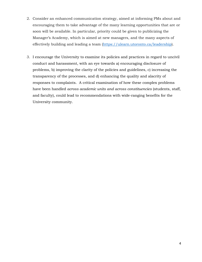- 2. Consider an enhanced communication strategy, aimed at informing PMs about and encouraging them to take advantage of the many learning opportunities that are or soon will be available. In particular, priority could be given to publicizing the Manager's Academy, which is aimed at new managers, and the many aspects of effectively building and leading a team [\(https://ulearn.utoronto.ca/leadership\)](https://ulearn.utoronto.ca/leadership).
- 3. I encourage the University to examine its policies and practices in regard to uncivil conduct and harassment, with an eye towards a) encouraging disclosure of problems, b) improving the clarity of the policies and guidelines, c) increasing the transparency of the processes, and d) enhancing the quality and alacrity of responses to complaints. A critical examination of how these complex problems have been handled *across academic units and across constituencies* (students, staff, and faculty), could lead to recommendations with wide-ranging benefits for the University community.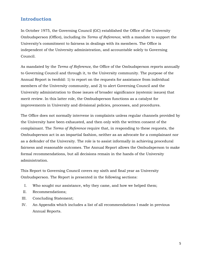## **Introduction**

In October 1975, the Governing Council (GC) established the Office of the University Ombudsperson (Office), including its *Terms of Reference*, with a mandate to support the University's commitment to fairness in dealings with its members. The Office is independent of the University administration, and accountable solely to Governing Council.

As mandated by the *Terms of Reference,* the Office of the Ombudsperson reports annually to Governing Council and through it, to the University community. The purpose of the Annual Report is twofold: 1) to report on the requests for assistance from individual members of the University community, and 2) to alert Governing Council and the University administration to those issues of broader significance (systemic issues) that merit review. In this latter role, the Ombudsperson functions as a catalyst for improvements in University and divisional policies, processes, and procedures.

The Office does not normally intervene in complaints unless regular channels provided by the University have been exhausted, and then only with the written consent of the complainant. The *Terms of Reference* require that, in responding to these requests, the Ombudsperson act in an impartial fashion, neither as an advocate for a complainant nor as a defender of the University. The role is to assist informally in achieving procedural fairness and reasonable outcomes. The Annual Report allows the Ombudsperson to make formal recommendations, but all decisions remain in the hands of the University administration.

This Report to Governing Council covers my sixth and final year as University Ombudsperson. The Report is presented in the following sections:

- I. Who sought our assistance, why they came, and how we helped them;
- II. Recommendations;
- III. Concluding Statement;
- IV. An Appendix which includes a list of all recommendations I made in previous Annual Reports.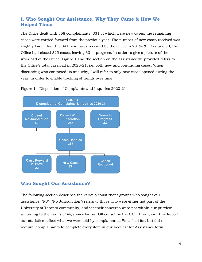## **I. Who Sought Our Assistance, Why They Came & How We Helped Them**

The Office dealt with 358 complainants: 331 of which were new cases; the remaining cases were carried forward from the previous year. The number of new cases received was slightly lower than the 341 new cases received by the Office in 2019-20. By June 30, the Office had closed 325 cases, leaving 33 in progress. In order to give a picture of the workload of the Office, Figure 1 and the section on the assistance we provided refers to the Office's total caseload in 2020-21, i.e. both new and continuing cases. When discussing who contacted us and why, I will refer to only new cases opened during the year, in order to enable tracking of trends over time





## **Who Sought Our Assistance?**

The following section describes the various constituent groups who sought our assistance. "NJ" ("No Jurisdiction") refers to those who were either not part of the University of Toronto community, and/or their concerns were not within our purview according to the *Terms of Reference* for our Office, set by the GC. Throughout this Report, our statistics reflect what we were told by complainants. We asked for, but did not require, complainants to complete every item in our Request for Assistance form.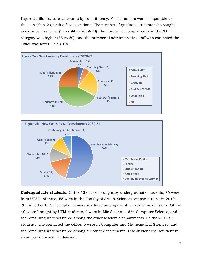Figure 2a illustrates case counts by constituency. Most numbers were comparable to those in 2019-20, with a few exceptions: The number of graduate students who sought assistance was lower (72 vs 94 in 2019-20); the number of complainants in the NJ category was higher (83 vs 60), and the number of administrative staff who contacted the Office was lower (15 vs 19).





**Undergraduate students:** Of the 138 cases brought by undergraduate students, 76 were from UTSG; of these, 55 were in the Faculty of Arts & Science (compared to 64 in 2019- 20). All other UTSG complaints were scattered among the other academic divisions. Of the 40 cases brought by UTM students, 9 were in Life Sciences, 6 in Computer Science, and the remaining were scattered among the other academic departments. Of the 21 UTSC students who contacted the Office, 9 were in Computer and Mathematical Sciences, and the remaining were scattered among six other departments. One student did not identify a campus or academic division.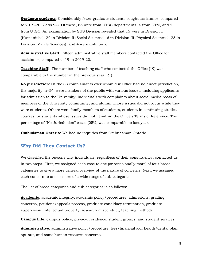**Graduate students**: Considerably fewer graduate students sought assistance, compared to 2019-20 (72 vs 94). Of these, 66 were from UTSG departments, 4 from UTM, and 2 from UTSC. An examination by SGS Division revealed that 15 were in Division 1 (Humanities), 22 in Division II (Social Sciences), 6 in Division III (Physical Sciences), 25 in Division IV (Life Sciences), and 4 were unknown.

**Administrative Staff**: Fifteen administrative staff members contacted the Office for assistance, compared to 19 in 2019-20.

**Teaching Staff**: The number of teaching staff who contacted the Office (19) was comparable to the number in the previous year (21).

**No jurisdiction**: Of the 83 complainants over whom our Office had no direct jurisdiction, the majority (n=54) were members of the public with various issues, including applicants for admission to the University, individuals with complaints about social media posts of members of the University community, and alumni whose issues did not occur while they were students. Others were family members of students, students in continuing studies courses, or students whose issues did not fit within the Office's Terms of Reference. The percentage of "No Jurisdiction" cases (25%) was comparable to last year.

**Ombudsman Ontario**: We had no inquiries from Ombudsman Ontario.

## **Why Did They Contact Us?**

We classified the reasons why individuals, regardless of their constituency, contacted us in two steps. First, we assigned each case to one (or occasionally more) of four broad categories to give a more general overview of the nature of concerns. Next, we assigned each concern to one or more of a wide range of sub-categories.

The list of broad categories and sub-categories is as follows:

**Academic**: academic integrity, academic policy/procedures, admissions, grading concerns, petitions/appeals process, graduate candidacy termination, graduate supervision, intellectual property, research misconduct, teaching methods.

**Campus Life**: campus police, privacy, residence, student groups, and student services.

**Administrative**: administrative policy/procedure, fees/financial aid, health/dental plan opt-out, and some human resource concerns.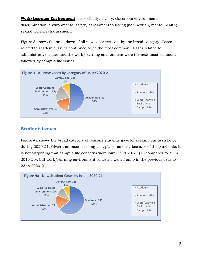**Work/Learning Environment**: accessibility, civility, classroom environment, discrimination, environmental safety, harassment/bullying (non-sexual), mental health; sexual violence/harassment.

Figure 3 shows the breakdown of all new cases received by the broad category. Cases related to academic issues continued to be the most common. Cases related to administrative issues and the work/learning environment were the next most common, followed by campus life issues.



## **Student Issues**

Figure 4a shows the broad category of reasons students gave for seeking our assistance during 2020-21. Given that most learning took place remotely because of the pandemic, it is not surprising that campus life concerns were lower in 2020-21 (18 compared to 37 in 2019-20), but work/learning environment concerns went from 0 in the previous year to 23 in 2020-21.

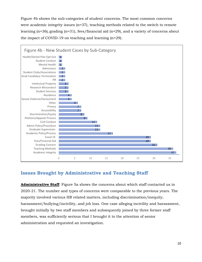Figure 4b shows the sub-categories of student concerns. The most common concerns were academic integrity issues (n=37), teaching methods related to the switch to remote learning (n=36), grading (n=31), fees/financial aid (n=29), and a variety of concerns about the impact of COVID-19 on teaching and learning (n=29).



## **Issues Brought by Administrative and Teaching Staff**

**Administrative Staff**: Figure 5a shows the concerns about which staff contacted us in 2020-21. The number and types of concerns were comparable to the previous years. The majority involved various HR related matters, including discrimination/inequity, harassment/bullying/incivility, and job loss. One case alleging incivility and harassment, brought initially by two staff members and subsequently joined by three former staff members, was sufficiently serious that I brought it to the attention of senior administration and requested an investigation.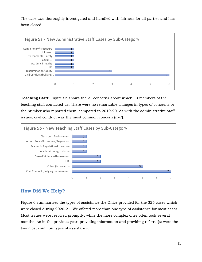The case was thoroughly investigated and handled with fairness for all parties and has been closed.



**Teaching Staff**: Figure 5b shows the 21 concerns about which 19 members of the teaching staff contacted us. There were no remarkable changes in types of concerns or the number who reported them, compared to 2019-20. As with the administrative staff issues, civil conduct was the most common concern (n=7).



## **How Did We Help?**

Figure 6 summarizes the types of assistance the Office provided for the 325 cases which were closed during 2020-21. We offered more than one type of assistance for most cases. Most issues were resolved promptly, while the more complex ones often took several months. As in the previous year, providing information and providing referral(s) were the two most common types of assistance.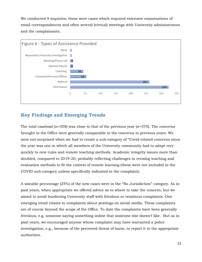We conducted 9 inquiries; these were cases which required extensive examinations of email correspondences and often several (virtual) meetings with University administrators and the complainants.



## **Key Findings and Emerging Trends**

The total caseload  $(n=358)$  was close to that of the previous year  $(n=370)$ . The concerns brought to the Office were generally comparable to the concerns in previous years. We were not surprised when we had to create a sub-category of "Covid-related concerns since the year was one in which all members of the University community had to adapt very quickly to new rules and remote teaching methods. Academic integrity issues more than doubled, compared to 2019-20, probably reflecting challenges in revising teaching and evaluation methods to fit the context of remote learning (these were not included in the COVID sub-category unless specifically indicated in the complaint).

A sizeable percentage (25%) of the new cases were in the "No Jurisdiction" category. As in past years, when appropriate we offered advice as to where to take the concern, but we aimed to avoid burdening University staff with frivolous or vexatious complaints. One emerging trend relates to complaints about postings on social media. These complaints are of course beyond the scope of the Office. To date the complaints have been generally frivolous, e.g. someone saying something online that someone else doesn't like. But as in past years, we encouraged anyone whose complaint may have warranted a police investigation, e.g., because of the perceived threat of harm, to report it to the appropriate authorities.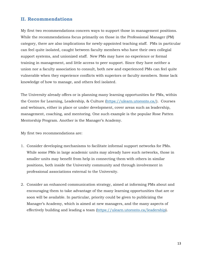## **II. Recommendations**

My first two recommendations concern ways to support those in management positions. While the recommendations focus primarily on those in the Professional Manager (PM) category, there are also implications for newly-appointed teaching staff. PMs in particular can feel quite isolated, caught between faculty members who have their own collegial support systems, and unionized staff. New PMs may have no experience or formal training in management, and little access to peer support. Since they have neither a union nor a faculty association to consult, both new and experienced PMs can feel quite vulnerable when they experience conflicts with superiors or faculty members. Some lack knowledge of how to manage, and others feel isolated.

The University already offers or is planning many learning opportunities for PMs, within the Centre for Learning, Leadership, & Culture [\(https://ulearn.utoronto.ca/\)](https://ulearn.utoronto.ca/). Courses and webinars, either in place or under development, cover areas such as leadership, management, coaching, and mentoring. One such example is the popular Rose Patten Mentorship Program. Another is the Manager's Academy.

My first two recommendations are:

- 1. Consider developing mechanisms to facilitate informal support networks for PMs. While some PMs in large academic units may already have such networks, those in smaller units may benefit from help in connecting them with others in similar positions, both inside the University community and through involvement in professional associations external to the University.
- 2. Consider an enhanced communication strategy, aimed at informing PMs about and encouraging them to take advantage of the many learning opportunities that are or soon will be available. In particular, priority could be given to publicizing the Manager's Academy, which is aimed at new managers, and the many aspects of effectively building and leading a team [\(https://ulearn.utoronto.ca/leadership\)](https://ulearn.utoronto.ca/leadership).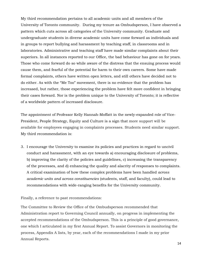My third recommendation pertains to all academic units and all members of the University of Toronto community. During my tenure as Ombudsperson, I have observed a pattern which cuts across all categories of the University community. Graduate and undergraduate students in diverse academic units have come forward as individuals and in groups to report bullying and harassment by teaching staff, in classrooms and in laboratories. Administrative and teaching staff have made similar complaints about their superiors. In all instances reported to our Office, the bad behaviour has gone on for years. Those who come forward do so while aware of the distress that the ensuing process would cause them, and fearful of the potential for harm to their own careers. Some have made formal complaints, others have written open letters, and still others have decided not to do either. As with the "Me Too" movement, there is no evidence that the problem has increased, but rather, those experiencing the problem have felt more confident in bringing their cases forward. Nor is the problem unique to the University of Toronto; it is reflective of a worldwide pattern of increased disclosure.

The appointment of Professor Kelly Hannah-Moffatt in the newly-expanded role of Vice-President, People Strategy, Equity and Culture is a sign that more support will be available for employees engaging in complaints processes. Students need similar support. My third recommendation is:

3. I encourage the University to examine its policies and practices in regard to uncivil conduct and harassment, with an eye towards a) encouraging disclosure of problems, b) improving the clarity of the policies and guidelines, c) increasing the transparency of the processes, and d) enhancing the quality and alacrity of responses to complaints. A critical examination of how these complex problems have been handled *across academic units and across constituencies* (students, staff, and faculty), could lead to recommendations with wide-ranging benefits for the University community.

Finally, a reference to past recommendations:

The Committee to Review the Office of the Ombudsperson recommended that Administration report to Governing Council annually, on progress in implementing the accepted recommendations of the Ombudsperson. This is a principle of good governance, one which I articulated in my first Annual Report. To assist Governors in monitoring the process, Appendix A lists, by year, each of the recommendations I made in my prior Annual Reports.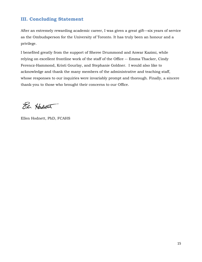## **III. Concluding Statement**

After an extremely rewarding academic career, I was given a great gift—six years of service as the Ombudsperson for the University of Toronto. It has truly been an honour and a privilege.

I benefited greatly from the support of Sheree Drummond and Anwar Kazimi, while relying on excellent frontline work of the staff of the Office -- Emma Thacker, Cindy Ferencz-Hammond, Kristi Gourlay, and Stephanie Goldner. I would also like to acknowledge and thank the many members of the administrative and teaching staff, whose responses to our inquiries were invariably prompt and thorough. Finally, a sincere thank-you to those who brought their concerns to our Office.

El Hodwar

Ellen Hodnett, PhD, FCAHS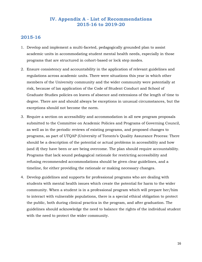#### **IV. Appendix A - List of Recommendations 2015-16 to 2019-20**

#### **2015-16**

- 1. Develop and implement a multi-faceted, pedagogically grounded plan to assist academic units in accommodating student mental health needs, especially in those programs that are structured in cohort-based or lock step modes.
- 2. Ensure consistency and accountability in the application of relevant guidelines and regulations across academic units. There were situations this year in which other members of the University community and the wider community were potentially at risk, because of lax application of the Code of Student Conduct and School of Graduate Studies policies on leaves of absence and extensions of the length of time to degree. There are and should always be exceptions in unusual circumstances, but the exceptions should not become the norm.
- 3. Require a section on accessibility and accommodation in all new program proposals submitted to the Committee on Academic Policies and Programs of Governing Council, as well as in the periodic reviews of existing programs, and proposed changes to programs, as part of UTQAP (University of Toronto's Quality Assurance Process: There should be a description of the potential or actual problems in accessibility and how (and if) they have been or are being overcome. The plan should require accountability. Programs that lack sound pedagogical rationale for restricting accessibility and refusing recommended accommodations should be given clear guidelines, and a timeline, for either providing the rationale or making necessary changes.
- 4. Develop guidelines and supports for professional programs who are dealing with students with mental health issues which create the potential for harm to the wider community. When a student is in a professional program which will prepare her/him to interact with vulnerable populations, there is a special ethical obligation to protect the public, both during clinical practica in the program, and after graduation. The guidelines should acknowledge the need to balance the rights of the individual student with the need to protect the wider community.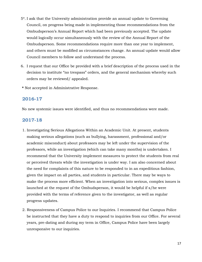- 5\*. I ask that the University administration provide an annual update to Governing Council, on progress being made in implementing those recommendations from the Ombudsperson's Annual Report which had been previously accepted. The update would logically occur simultaneously with the review of the Annual Report of the Ombudsperson. Some recommendations require more than one year to implement, and others must be modified as circumstances change. An annual update would allow Council members to follow and understand the process.
- 6. I request that our Office be provided with a brief description of the process used in the decision to institute "no trespass" orders, and the general mechanism whereby such orders may be reviewed/ appealed.
- **\*** Not accepted in Administrative Response.

#### **2016-17**

No new systemic issues were identified, and thus no recommendations were made.

#### **2017-18**

- 1. Investigating Serious Allegations Within an Academic Unit. At present, students making serious allegations (such as bullying, harassment, professional and/or academic misconduct) about professors may be left under the supervision of the professors, while an investigation (which can take many months) is undertaken. I recommend that the University implement measures to protect the students from real or perceived threats while the investigation is under way. I am also concerned about the need for complaints of this nature to be responded to in an expeditious fashion, given the impact on all parties, and students in particular. There may be ways to make the process more efficient. When an investigation into serious, complex issues is launched at the request of the Ombudsperson, it would be helpful if s/he were provided with the terms of reference given to the investigator, as well as regular progress updates.
- 2. Responsiveness of Campus Police to our Inquiries. I recommend that Campus Police be instructed that they have a duty to respond to inquiries from our Office. For several years, pre-dating and during my term in Office, Campus Police have been largely unresponsive to our inquiries.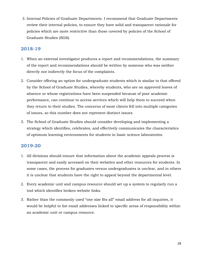3. Internal Policies of Graduate Departments. I recommend that Graduate Departments review their internal policies, to ensure they have solid and transparent rationale for policies which are more restrictive than those covered by policies of the School of Graduate Studies (SGS).

## **2018-19**

- 1. When an external investigator produces a report and recommendations, the summary of the report and recommendations should be written by someone who was neither directly nor indirectly the focus of the complaints.
- 2. Consider offering an option for undergraduate students which is similar to that offered by the School of Graduate Studies, whereby students, who are on approved leaves of absence or whose registrations have been suspended because of poor academic performance, can continue to access services which will help them to succeed when they return to their studies. The concerns of most clients fell into multiple categories of issues, so this number does not represent distinct issues.
- 3. The School of Graduate Studies should consider developing and implementing a strategy which identifies, celebrates, and effectively communicates the characteristics of optimum learning environments for students in basic science laboratories.

## **2019-20**

- 1. All divisions should ensure that information about the academic appeals process is transparent and easily accessed on their websites and other resources for students. In some cases, the process for graduates versus undergraduates is unclear, and in others it is unclear that students have the right to appeal beyond the departmental level.
- 2. Every academic unit and campus resource should set up a system to regularly run a tool which identifies broken website links.
- 3. Rather than the commonly used "one size fits all" email address for all inquiries, it would be helpful to list email addresses linked to specific areas of responsibility within an academic unit or campus resource.